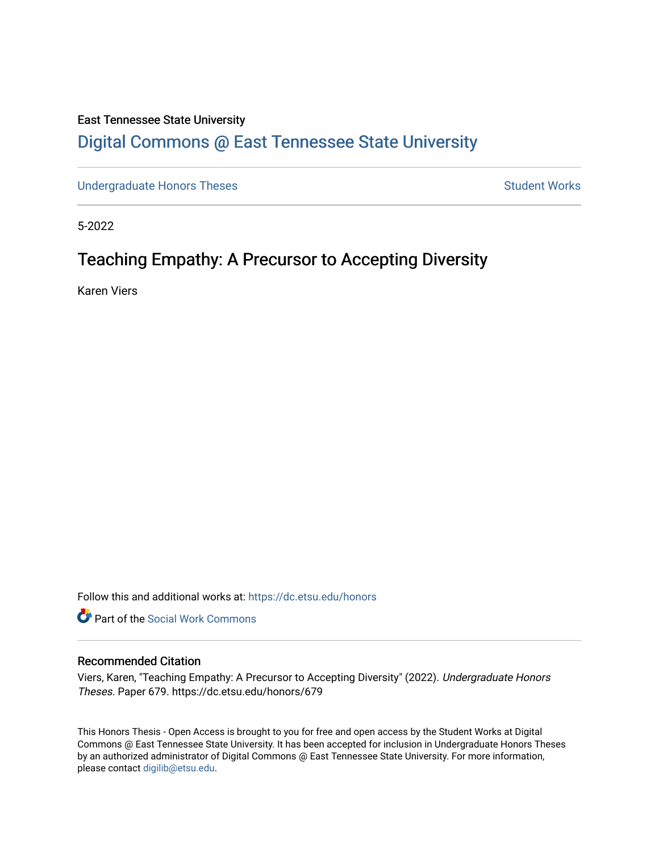# East Tennessee State University

# [Digital Commons @ East Tennessee State University](https://dc.etsu.edu/)

[Undergraduate Honors Theses](https://dc.etsu.edu/honors) **Student Works** Student Works

5-2022

# Teaching Empathy: A Precursor to Accepting Diversity

Karen Viers

Follow this and additional works at: [https://dc.etsu.edu/honors](https://dc.etsu.edu/honors?utm_source=dc.etsu.edu%2Fhonors%2F679&utm_medium=PDF&utm_campaign=PDFCoverPages)

**C** Part of the [Social Work Commons](http://network.bepress.com/hgg/discipline/713?utm_source=dc.etsu.edu%2Fhonors%2F679&utm_medium=PDF&utm_campaign=PDFCoverPages)

# Recommended Citation

Viers, Karen, "Teaching Empathy: A Precursor to Accepting Diversity" (2022). Undergraduate Honors Theses. Paper 679. https://dc.etsu.edu/honors/679

This Honors Thesis - Open Access is brought to you for free and open access by the Student Works at Digital Commons @ East Tennessee State University. It has been accepted for inclusion in Undergraduate Honors Theses by an authorized administrator of Digital Commons @ East Tennessee State University. For more information, please contact [digilib@etsu.edu.](mailto:digilib@etsu.edu)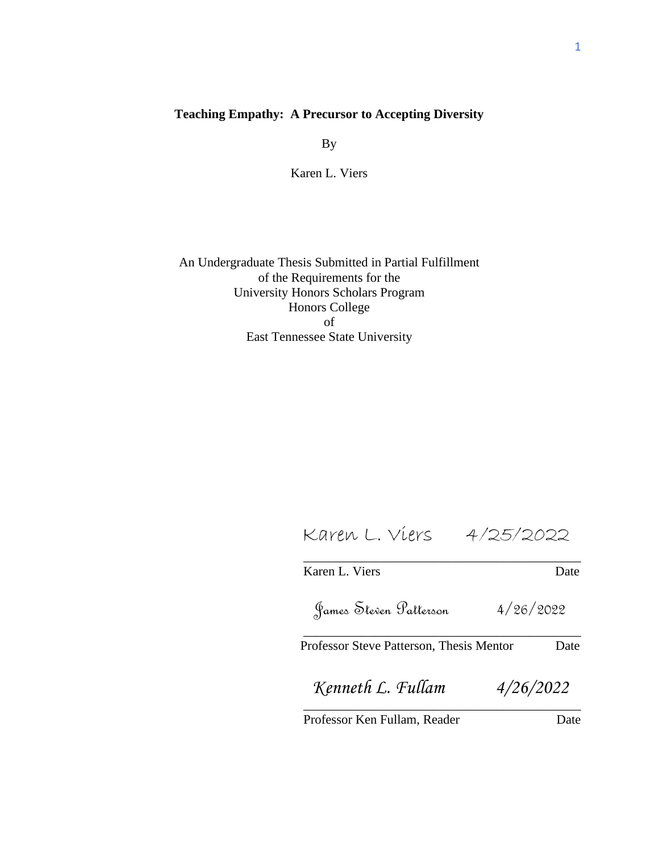# **Teaching Empathy: A Precursor to Accepting Diversity**

By

Karen L. Viers

An Undergraduate Thesis Submitted in Partial Fulfillment of the Requirements for the University Honors Scholars Program Honors College of East Tennessee State University

 Karen L. Viers 4/25/2022 \_\_\_\_\_\_\_\_\_\_\_\_\_\_\_\_\_\_\_\_\_\_\_\_\_\_\_\_\_\_\_\_\_\_\_\_\_\_\_\_\_\_\_

Karen L. Viers Date \_\_\_\_\_\_\_\_\_\_\_\_\_\_\_\_\_\_\_\_\_\_\_\_\_\_\_\_\_\_\_\_\_\_\_\_\_\_\_\_\_\_\_ James Steven Patterson 4/26/2022

Professor Steve Patterson, Thesis Mentor Date

\_\_\_\_\_\_\_\_\_\_\_\_\_\_\_\_\_\_\_\_\_\_\_\_\_\_\_\_\_\_\_\_\_\_\_\_\_\_\_\_\_\_\_ *Kenneth L. Fullam 4/26/2022*

Professor Ken Fullam, Reader Date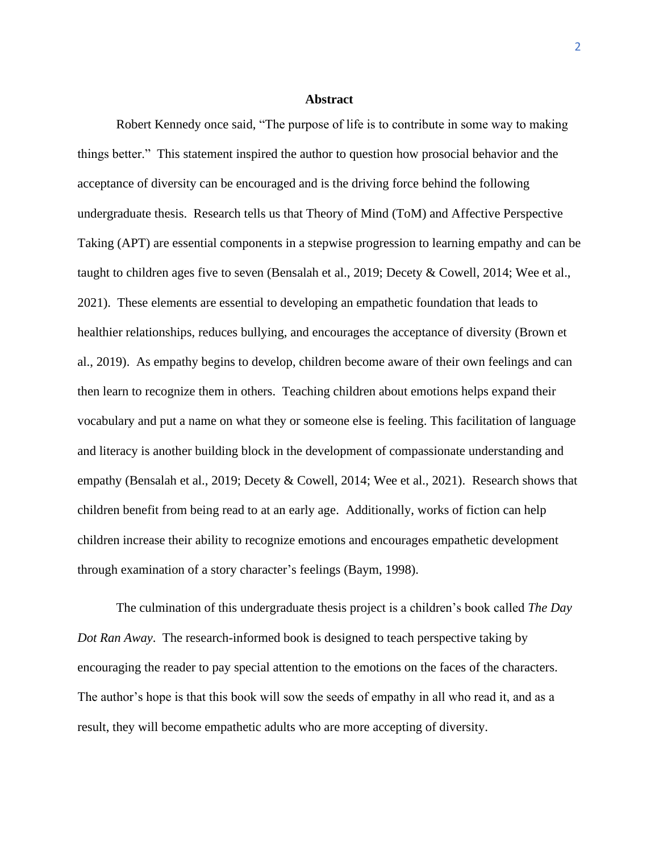#### **Abstract**

Robert Kennedy once said, "The purpose of life is to contribute in some way to making things better." This statement inspired the author to question how prosocial behavior and the acceptance of diversity can be encouraged and is the driving force behind the following undergraduate thesis. Research tells us that Theory of Mind (ToM) and Affective Perspective Taking (APT) are essential components in a stepwise progression to learning empathy and can be taught to children ages five to seven (Bensalah et al., 2019; Decety & Cowell, 2014; Wee et al., 2021). These elements are essential to developing an empathetic foundation that leads to healthier relationships, reduces bullying, and encourages the acceptance of diversity (Brown et al., 2019). As empathy begins to develop, children become aware of their own feelings and can then learn to recognize them in others. Teaching children about emotions helps expand their vocabulary and put a name on what they or someone else is feeling. This facilitation of language and literacy is another building block in the development of compassionate understanding and empathy (Bensalah et al., 2019; Decety & Cowell, 2014; Wee et al., 2021). Research shows that children benefit from being read to at an early age. Additionally, works of fiction can help children increase their ability to recognize emotions and encourages empathetic development through examination of a story character's feelings (Baym, 1998).

The culmination of this undergraduate thesis project is a children's book called *The Day Dot Ran Away*. The research-informed book is designed to teach perspective taking by encouraging the reader to pay special attention to the emotions on the faces of the characters. The author's hope is that this book will sow the seeds of empathy in all who read it, and as a result, they will become empathetic adults who are more accepting of diversity.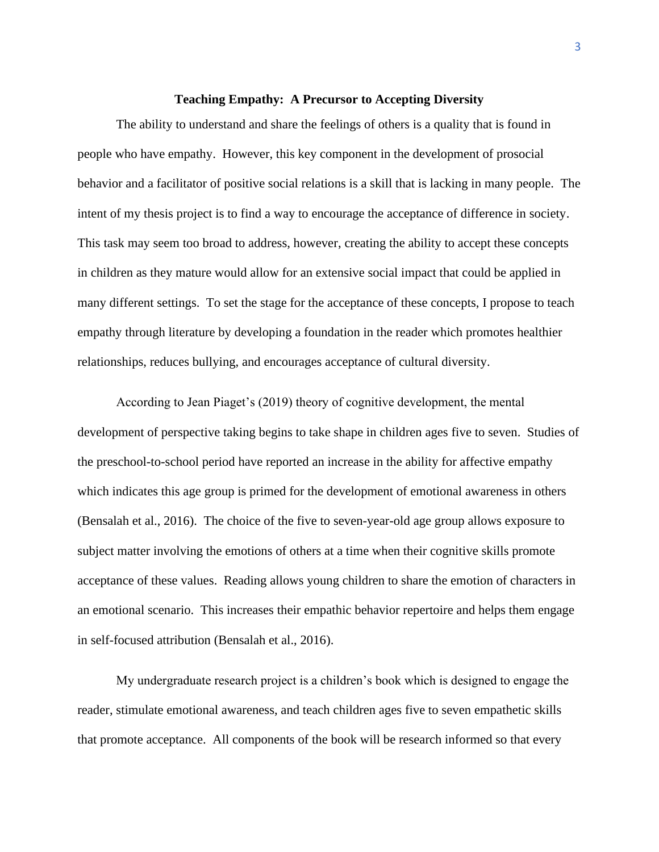## **Teaching Empathy: A Precursor to Accepting Diversity**

The ability to understand and share the feelings of others is a quality that is found in people who have empathy. However, this key component in the development of prosocial behavior and a facilitator of positive social relations is a skill that is lacking in many people. The intent of my thesis project is to find a way to encourage the acceptance of difference in society. This task may seem too broad to address, however, creating the ability to accept these concepts in children as they mature would allow for an extensive social impact that could be applied in many different settings. To set the stage for the acceptance of these concepts, I propose to teach empathy through literature by developing a foundation in the reader which promotes healthier relationships, reduces bullying, and encourages acceptance of cultural diversity.

According to Jean Piaget's (2019) theory of cognitive development, the mental development of perspective taking begins to take shape in children ages five to seven. Studies of the preschool-to-school period have reported an increase in the ability for affective empathy which indicates this age group is primed for the development of emotional awareness in others (Bensalah et al., 2016). The choice of the five to seven-year-old age group allows exposure to subject matter involving the emotions of others at a time when their cognitive skills promote acceptance of these values. Reading allows young children to share the emotion of characters in an emotional scenario. This increases their empathic behavior repertoire and helps them engage in self-focused attribution (Bensalah et al., 2016).

My undergraduate research project is a children's book which is designed to engage the reader, stimulate emotional awareness, and teach children ages five to seven empathetic skills that promote acceptance. All components of the book will be research informed so that every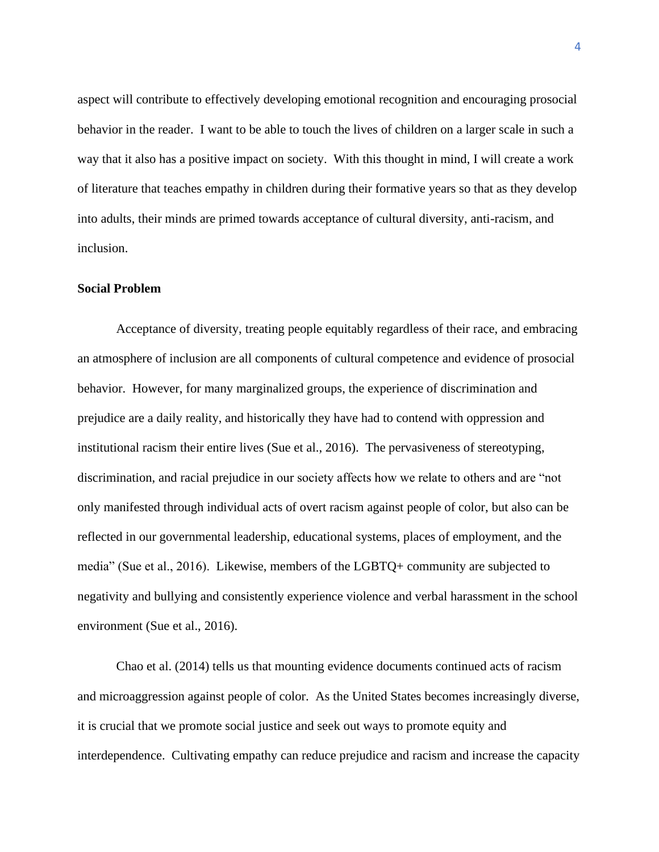aspect will contribute to effectively developing emotional recognition and encouraging prosocial behavior in the reader. I want to be able to touch the lives of children on a larger scale in such a way that it also has a positive impact on society. With this thought in mind, I will create a work of literature that teaches empathy in children during their formative years so that as they develop into adults, their minds are primed towards acceptance of cultural diversity, anti-racism, and inclusion.

#### **Social Problem**

Acceptance of diversity, treating people equitably regardless of their race, and embracing an atmosphere of inclusion are all components of cultural competence and evidence of prosocial behavior. However, for many marginalized groups, the experience of discrimination and prejudice are a daily reality, and historically they have had to contend with oppression and institutional racism their entire lives (Sue et al., 2016). The pervasiveness of stereotyping, discrimination, and racial prejudice in our society affects how we relate to others and are "not only manifested through individual acts of overt racism against people of color, but also can be reflected in our governmental leadership, educational systems, places of employment, and the media" (Sue et al., 2016). Likewise, members of the LGBTQ+ community are subjected to negativity and bullying and consistently experience violence and verbal harassment in the school environment (Sue et al., 2016).

Chao et al. (2014) tells us that mounting evidence documents continued acts of racism and microaggression against people of color. As the United States becomes increasingly diverse, it is crucial that we promote social justice and seek out ways to promote equity and interdependence. Cultivating empathy can reduce prejudice and racism and increase the capacity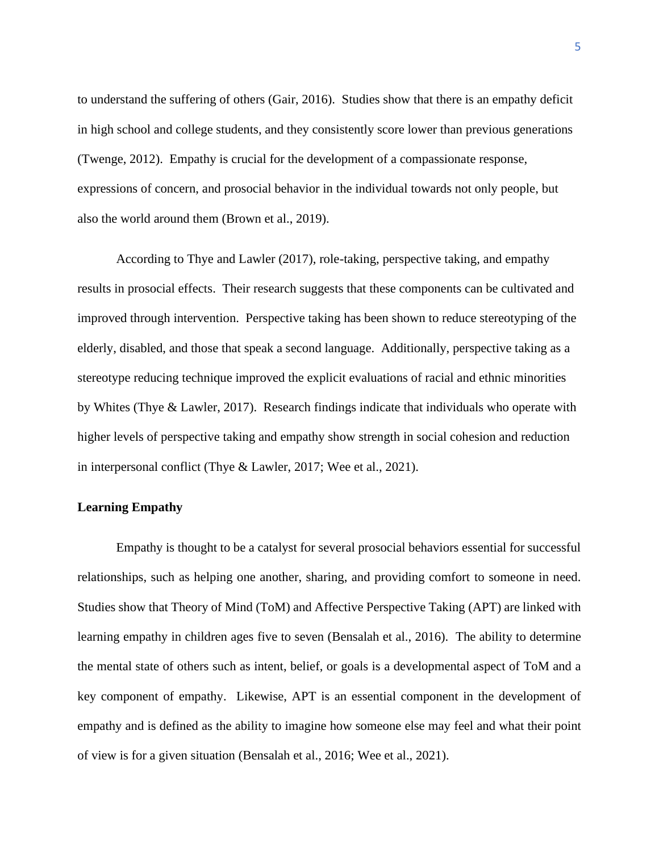to understand the suffering of others (Gair, 2016). Studies show that there is an empathy deficit in high school and college students, and they consistently score lower than previous generations (Twenge, 2012). Empathy is crucial for the development of a compassionate response, expressions of concern, and prosocial behavior in the individual towards not only people, but also the world around them (Brown et al., 2019).

According to Thye and Lawler (2017), role-taking, perspective taking, and empathy results in prosocial effects. Their research suggests that these components can be cultivated and improved through intervention. Perspective taking has been shown to reduce stereotyping of the elderly, disabled, and those that speak a second language. Additionally, perspective taking as a stereotype reducing technique improved the explicit evaluations of racial and ethnic minorities by Whites (Thye & Lawler, 2017). Research findings indicate that individuals who operate with higher levels of perspective taking and empathy show strength in social cohesion and reduction in interpersonal conflict (Thye & Lawler, 2017; Wee et al., 2021).

### **Learning Empathy**

Empathy is thought to be a catalyst for several prosocial behaviors essential for successful relationships, such as helping one another, sharing, and providing comfort to someone in need. Studies show that Theory of Mind (ToM) and Affective Perspective Taking (APT) are linked with learning empathy in children ages five to seven (Bensalah et al., 2016). The ability to determine the mental state of others such as intent, belief, or goals is a developmental aspect of ToM and a key component of empathy. Likewise, APT is an essential component in the development of empathy and is defined as the ability to imagine how someone else may feel and what their point of view is for a given situation (Bensalah et al., 2016; Wee et al., 2021).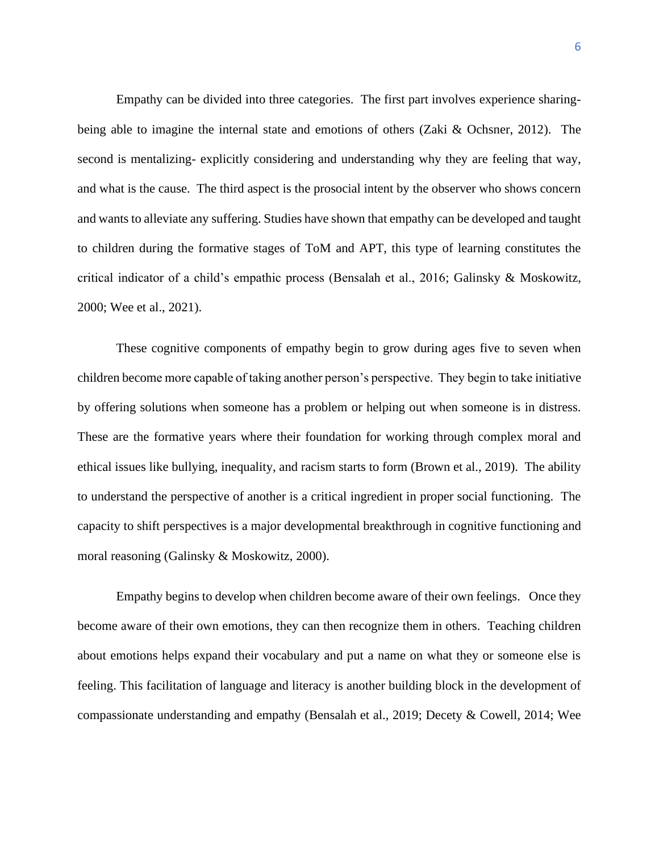Empathy can be divided into three categories. The first part involves experience sharingbeing able to imagine the internal state and emotions of others (Zaki & Ochsner, 2012). The second is mentalizing- explicitly considering and understanding why they are feeling that way, and what is the cause. The third aspect is the prosocial intent by the observer who shows concern and wants to alleviate any suffering. Studies have shown that empathy can be developed and taught to children during the formative stages of ToM and APT, this type of learning constitutes the critical indicator of a child's empathic process (Bensalah et al., 2016; Galinsky & Moskowitz, 2000; Wee et al., 2021).

These cognitive components of empathy begin to grow during ages five to seven when children become more capable of taking another person's perspective. They begin to take initiative by offering solutions when someone has a problem or helping out when someone is in distress. These are the formative years where their foundation for working through complex moral and ethical issues like bullying, inequality, and racism starts to form (Brown et al., 2019). The ability to understand the perspective of another is a critical ingredient in proper social functioning. The capacity to shift perspectives is a major developmental breakthrough in cognitive functioning and moral reasoning (Galinsky & Moskowitz, 2000).

Empathy begins to develop when children become aware of their own feelings. Once they become aware of their own emotions, they can then recognize them in others. Teaching children about emotions helps expand their vocabulary and put a name on what they or someone else is feeling. This facilitation of language and literacy is another building block in the development of compassionate understanding and empathy (Bensalah et al., 2019; Decety & Cowell, 2014; Wee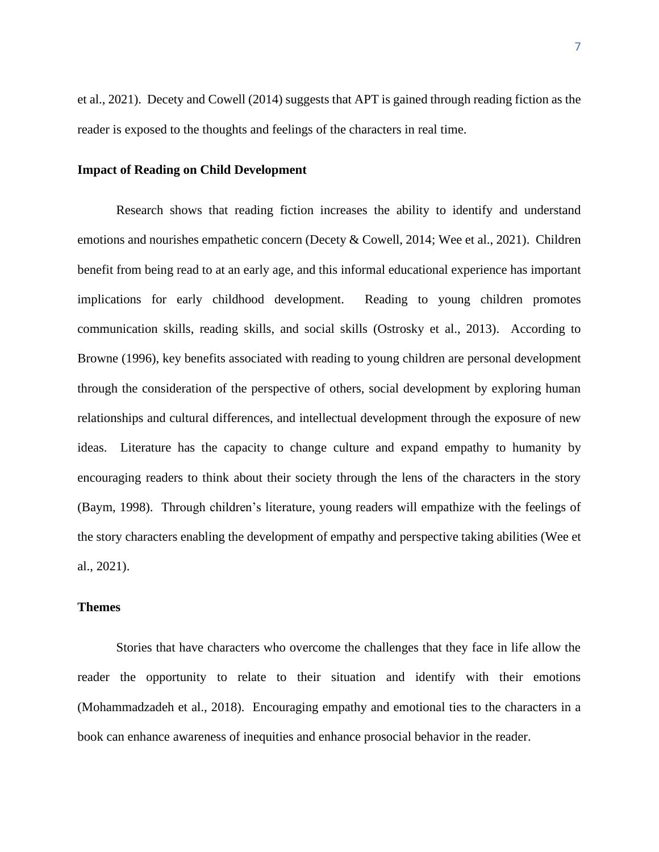et al., 2021). Decety and Cowell (2014) suggests that APT is gained through reading fiction as the reader is exposed to the thoughts and feelings of the characters in real time.

# **Impact of Reading on Child Development**

Research shows that reading fiction increases the ability to identify and understand emotions and nourishes empathetic concern (Decety & Cowell, 2014; Wee et al., 2021).Children benefit from being read to at an early age, and this informal educational experience has important implications for early childhood development. Reading to young children promotes communication skills, reading skills, and social skills (Ostrosky et al., 2013). According to Browne (1996), key benefits associated with reading to young children are personal development through the consideration of the perspective of others, social development by exploring human relationships and cultural differences, and intellectual development through the exposure of new ideas. Literature has the capacity to change culture and expand empathy to humanity by encouraging readers to think about their society through the lens of the characters in the story (Baym, 1998). Through children's literature, young readers will empathize with the feelings of the story characters enabling the development of empathy and perspective taking abilities (Wee et al., 2021).

# **Themes**

Stories that have characters who overcome the challenges that they face in life allow the reader the opportunity to relate to their situation and identify with their emotions (Mohammadzadeh et al., 2018). Encouraging empathy and emotional ties to the characters in a book can enhance awareness of inequities and enhance prosocial behavior in the reader.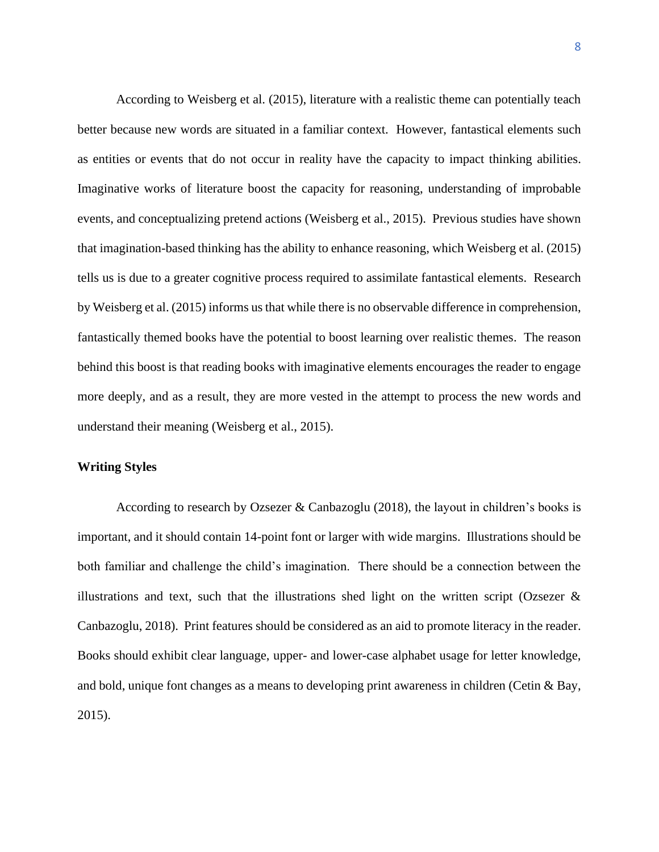According to Weisberg et al. (2015), literature with a realistic theme can potentially teach better because new words are situated in a familiar context. However, fantastical elements such as entities or events that do not occur in reality have the capacity to impact thinking abilities. Imaginative works of literature boost the capacity for reasoning, understanding of improbable events, and conceptualizing pretend actions (Weisberg et al., 2015). Previous studies have shown that imagination-based thinking has the ability to enhance reasoning, which Weisberg et al. (2015) tells us is due to a greater cognitive process required to assimilate fantastical elements. Research by Weisberg et al. (2015) informs us that while there is no observable difference in comprehension, fantastically themed books have the potential to boost learning over realistic themes. The reason behind this boost is that reading books with imaginative elements encourages the reader to engage more deeply, and as a result, they are more vested in the attempt to process the new words and understand their meaning (Weisberg et al., 2015).

# **Writing Styles**

According to research by Ozsezer & Canbazoglu (2018), the layout in children's books is important, and it should contain 14-point font or larger with wide margins. Illustrations should be both familiar and challenge the child's imagination. There should be a connection between the illustrations and text, such that the illustrations shed light on the written script (Ozsezer  $\&$ Canbazoglu, 2018). Print features should be considered as an aid to promote literacy in the reader. Books should exhibit clear language, upper- and lower-case alphabet usage for letter knowledge, and bold, unique font changes as a means to developing print awareness in children (Cetin & Bay, 2015).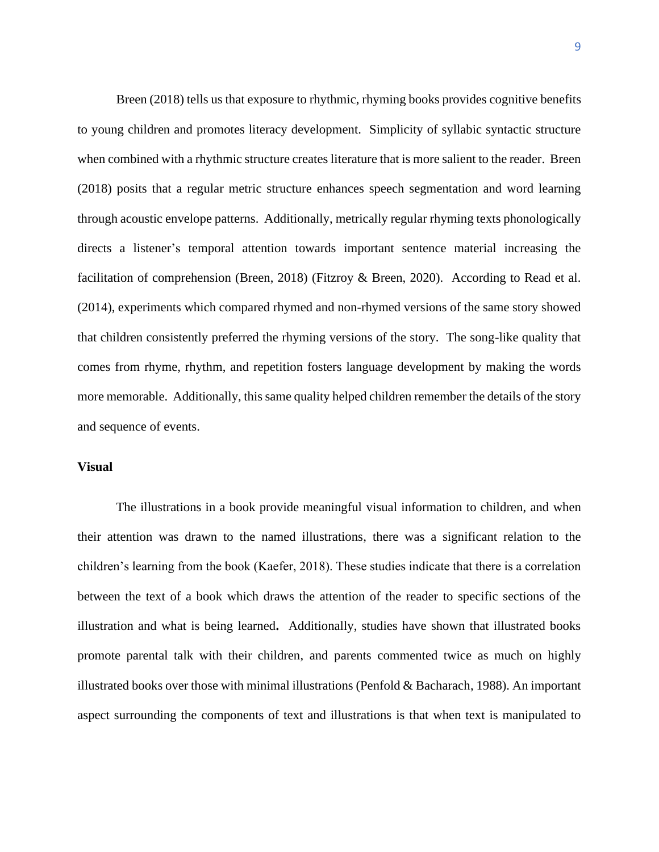Breen (2018) tells us that exposure to rhythmic, rhyming books provides cognitive benefits to young children and promotes literacy development. Simplicity of syllabic syntactic structure when combined with a rhythmic structure creates literature that is more salient to the reader. Breen (2018) posits that a regular metric structure enhances speech segmentation and word learning through acoustic envelope patterns. Additionally, metrically regular rhyming texts phonologically directs a listener's temporal attention towards important sentence material increasing the facilitation of comprehension (Breen, 2018) (Fitzroy & Breen, 2020). According to Read et al. (2014), experiments which compared rhymed and non-rhymed versions of the same story showed that children consistently preferred the rhyming versions of the story. The song-like quality that comes from rhyme, rhythm, and repetition fosters language development by making the words more memorable. Additionally, this same quality helped children remember the details of the story and sequence of events.

# **Visual**

The illustrations in a book provide meaningful visual information to children, and when their attention was drawn to the named illustrations, there was a significant relation to the children's learning from the book (Kaefer, 2018). These studies indicate that there is a correlation between the text of a book which draws the attention of the reader to specific sections of the illustration and what is being learned**.** Additionally, studies have shown that illustrated books promote parental talk with their children, and parents commented twice as much on highly illustrated books over those with minimal illustrations (Penfold & Bacharach, 1988). An important aspect surrounding the components of text and illustrations is that when text is manipulated to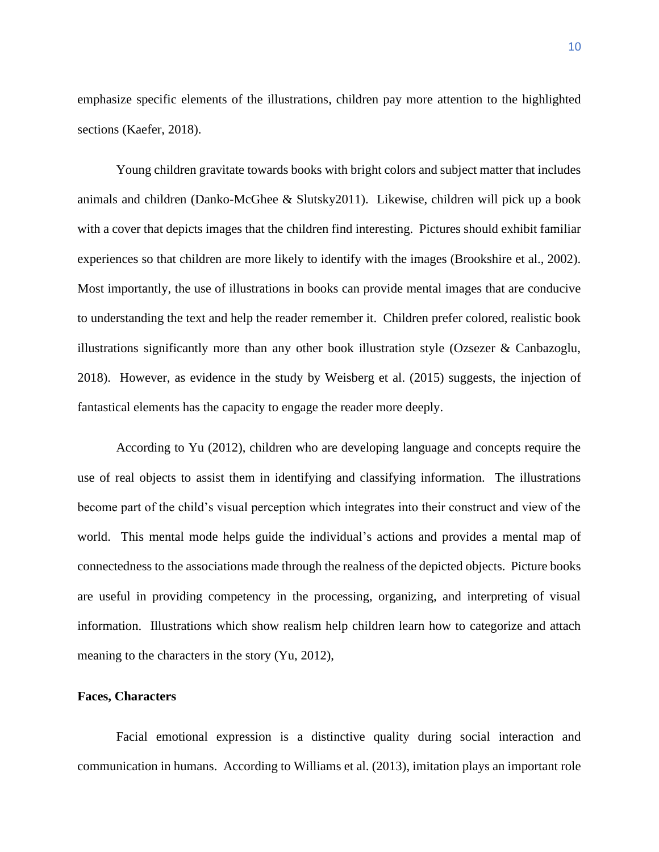emphasize specific elements of the illustrations, children pay more attention to the highlighted sections (Kaefer, 2018).

Young children gravitate towards books with bright colors and subject matter that includes animals and children (Danko-McGhee & Slutsky2011). Likewise, children will pick up a book with a cover that depicts images that the children find interesting. Pictures should exhibit familiar experiences so that children are more likely to identify with the images (Brookshire et al., 2002). Most importantly, the use of illustrations in books can provide mental images that are conducive to understanding the text and help the reader remember it. Children prefer colored, realistic book illustrations significantly more than any other book illustration style (Ozsezer & Canbazoglu, 2018). However, as evidence in the study by Weisberg et al. (2015) suggests, the injection of fantastical elements has the capacity to engage the reader more deeply.

According to Yu (2012), children who are developing language and concepts require the use of real objects to assist them in identifying and classifying information. The illustrations become part of the child's visual perception which integrates into their construct and view of the world. This mental mode helps guide the individual's actions and provides a mental map of connectedness to the associations made through the realness of the depicted objects. Picture books are useful in providing competency in the processing, organizing, and interpreting of visual information. Illustrations which show realism help children learn how to categorize and attach meaning to the characters in the story (Yu, 2012),

# **Faces, Characters**

Facial emotional expression is a distinctive quality during social interaction and communication in humans. According to Williams et al. (2013), imitation plays an important role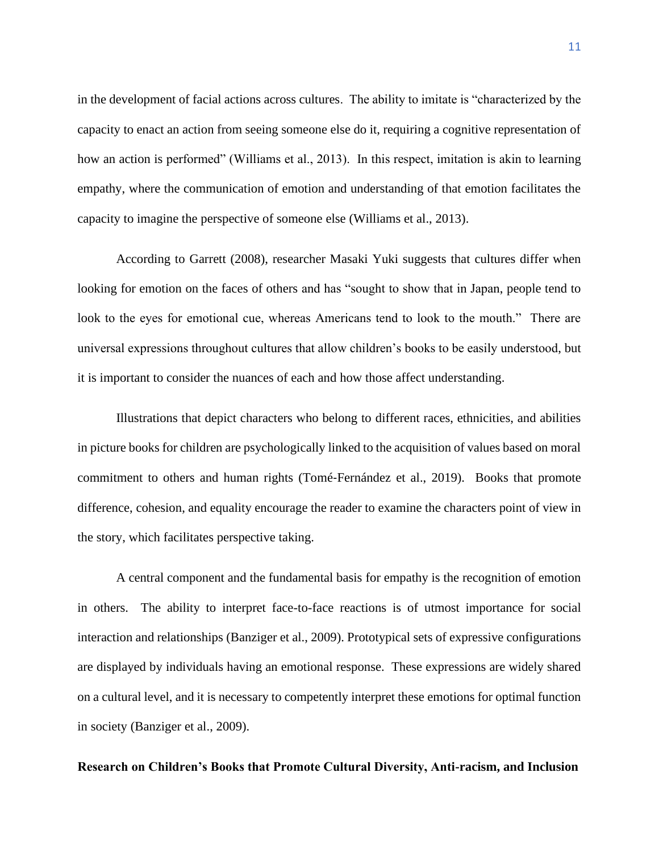in the development of facial actions across cultures. The ability to imitate is "characterized by the capacity to enact an action from seeing someone else do it, requiring a cognitive representation of how an action is performed" (Williams et al., 2013). In this respect, imitation is akin to learning empathy, where the communication of emotion and understanding of that emotion facilitates the capacity to imagine the perspective of someone else (Williams et al., 2013).

According to Garrett (2008), researcher Masaki Yuki suggests that cultures differ when looking for emotion on the faces of others and has "sought to show that in Japan, people tend to look to the eyes for emotional cue, whereas Americans tend to look to the mouth." There are universal expressions throughout cultures that allow children's books to be easily understood, but it is important to consider the nuances of each and how those affect understanding.

Illustrations that depict characters who belong to different races, ethnicities, and abilities in picture books for children are psychologically linked to the acquisition of values based on moral commitment to others and human rights (Tomé‐Fernández et al., 2019). Books that promote difference, cohesion, and equality encourage the reader to examine the characters point of view in the story, which facilitates perspective taking.

A central component and the fundamental basis for empathy is the recognition of emotion in others. The ability to interpret face-to-face reactions is of utmost importance for social interaction and relationships (Banziger et al., 2009). Prototypical sets of expressive configurations are displayed by individuals having an emotional response. These expressions are widely shared on a cultural level, and it is necessary to competently interpret these emotions for optimal function in society (Banziger et al., 2009).

# **Research on Children's Books that Promote Cultural Diversity, Anti-racism, and Inclusion**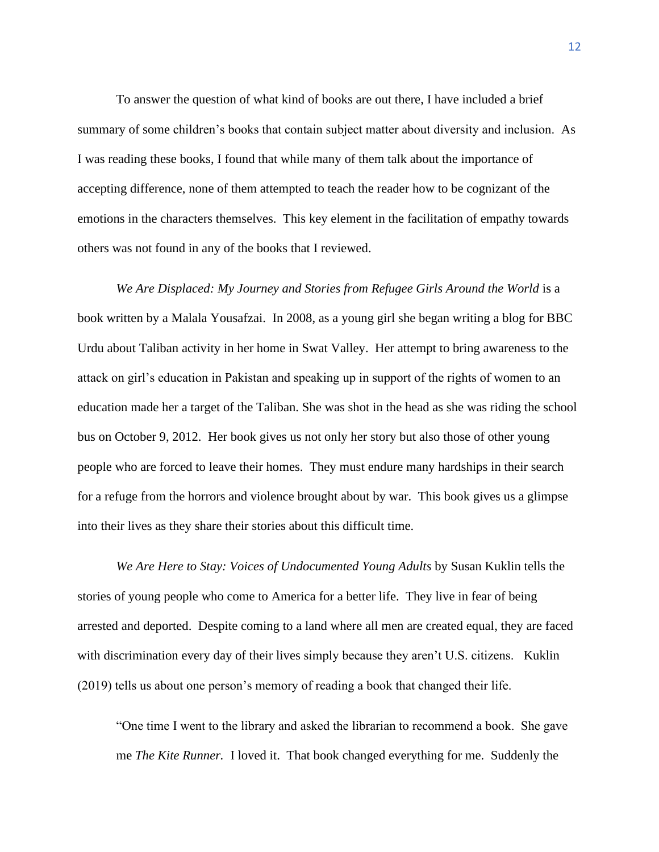To answer the question of what kind of books are out there, I have included a brief summary of some children's books that contain subject matter about diversity and inclusion. As I was reading these books, I found that while many of them talk about the importance of accepting difference, none of them attempted to teach the reader how to be cognizant of the emotions in the characters themselves. This key element in the facilitation of empathy towards others was not found in any of the books that I reviewed.

*We Are Displaced: My Journey and Stories from Refugee Girls Around the World is a* book written by a Malala Yousafzai. In 2008, as a young girl she began writing a blog for BBC Urdu about Taliban activity in her home in Swat Valley. Her attempt to bring awareness to the attack on girl's education in Pakistan and speaking up in support of the rights of women to an education made her a target of the Taliban. She was shot in the head as she was riding the school bus on October 9, 2012. Her book gives us not only her story but also those of other young people who are forced to leave their homes. They must endure many hardships in their search for a refuge from the horrors and violence brought about by war. This book gives us a glimpse into their lives as they share their stories about this difficult time.

*We Are Here to Stay: Voices of Undocumented Young Adults* by Susan Kuklin tells the stories of young people who come to America for a better life. They live in fear of being arrested and deported. Despite coming to a land where all men are created equal, they are faced with discrimination every day of their lives simply because they aren't U.S. citizens. Kuklin (2019) tells us about one person's memory of reading a book that changed their life.

"One time I went to the library and asked the librarian to recommend a book. She gave me *The Kite Runner.* I loved it. That book changed everything for me. Suddenly the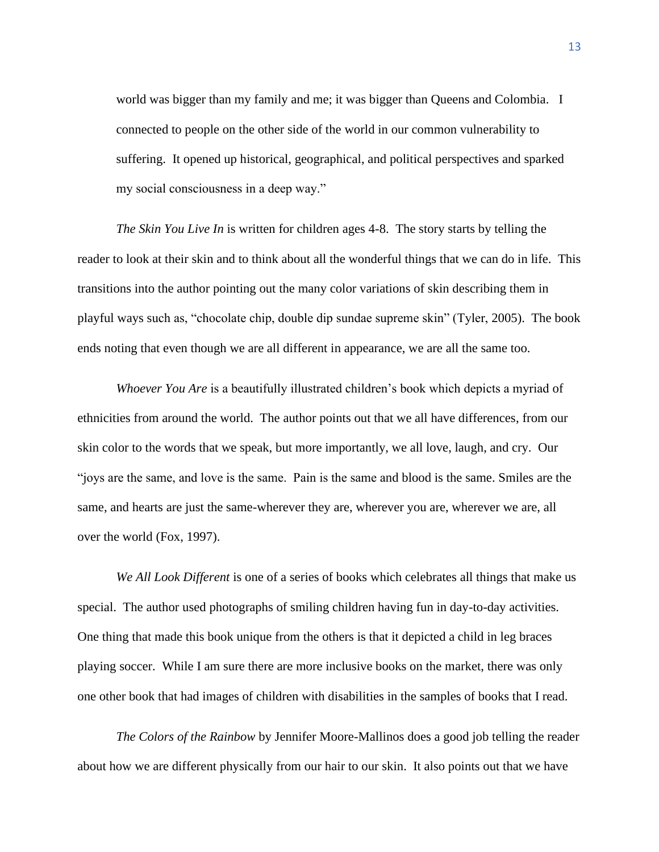world was bigger than my family and me; it was bigger than Queens and Colombia. I connected to people on the other side of the world in our common vulnerability to suffering. It opened up historical, geographical, and political perspectives and sparked my social consciousness in a deep way."

*The Skin You Live In* is written for children ages 4-8. The story starts by telling the reader to look at their skin and to think about all the wonderful things that we can do in life. This transitions into the author pointing out the many color variations of skin describing them in playful ways such as, "chocolate chip, double dip sundae supreme skin" (Tyler, 2005). The book ends noting that even though we are all different in appearance, we are all the same too.

*Whoever You Are* is a beautifully illustrated children's book which depicts a myriad of ethnicities from around the world. The author points out that we all have differences, from our skin color to the words that we speak, but more importantly, we all love, laugh, and cry. Our "joys are the same, and love is the same. Pain is the same and blood is the same. Smiles are the same, and hearts are just the same-wherever they are, wherever you are, wherever we are, all over the world (Fox, 1997).

*We All Look Different* is one of a series of books which celebrates all things that make us special. The author used photographs of smiling children having fun in day-to-day activities. One thing that made this book unique from the others is that it depicted a child in leg braces playing soccer. While I am sure there are more inclusive books on the market, there was only one other book that had images of children with disabilities in the samples of books that I read.

*The Colors of the Rainbow* by Jennifer Moore-Mallinos does a good job telling the reader about how we are different physically from our hair to our skin. It also points out that we have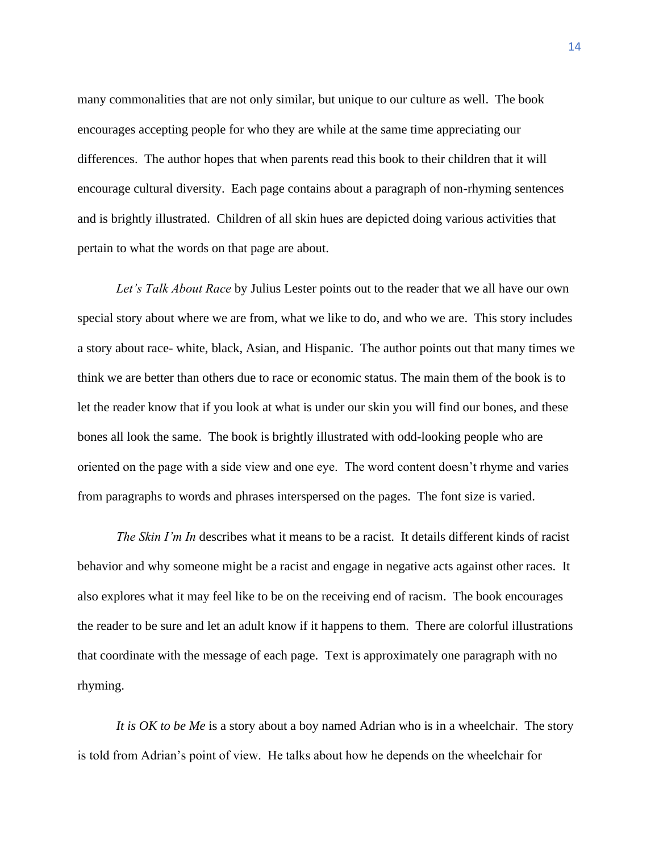many commonalities that are not only similar, but unique to our culture as well. The book encourages accepting people for who they are while at the same time appreciating our differences. The author hopes that when parents read this book to their children that it will encourage cultural diversity. Each page contains about a paragraph of non-rhyming sentences and is brightly illustrated. Children of all skin hues are depicted doing various activities that pertain to what the words on that page are about.

*Let's Talk About Race* by Julius Lester points out to the reader that we all have our own special story about where we are from, what we like to do, and who we are. This story includes a story about race- white, black, Asian, and Hispanic. The author points out that many times we think we are better than others due to race or economic status. The main them of the book is to let the reader know that if you look at what is under our skin you will find our bones, and these bones all look the same. The book is brightly illustrated with odd-looking people who are oriented on the page with a side view and one eye. The word content doesn't rhyme and varies from paragraphs to words and phrases interspersed on the pages. The font size is varied.

*The Skin I'm In* describes what it means to be a racist. It details different kinds of racist behavior and why someone might be a racist and engage in negative acts against other races. It also explores what it may feel like to be on the receiving end of racism. The book encourages the reader to be sure and let an adult know if it happens to them. There are colorful illustrations that coordinate with the message of each page. Text is approximately one paragraph with no rhyming.

*It is OK to be Me* is a story about a boy named Adrian who is in a wheelchair. The story is told from Adrian's point of view. He talks about how he depends on the wheelchair for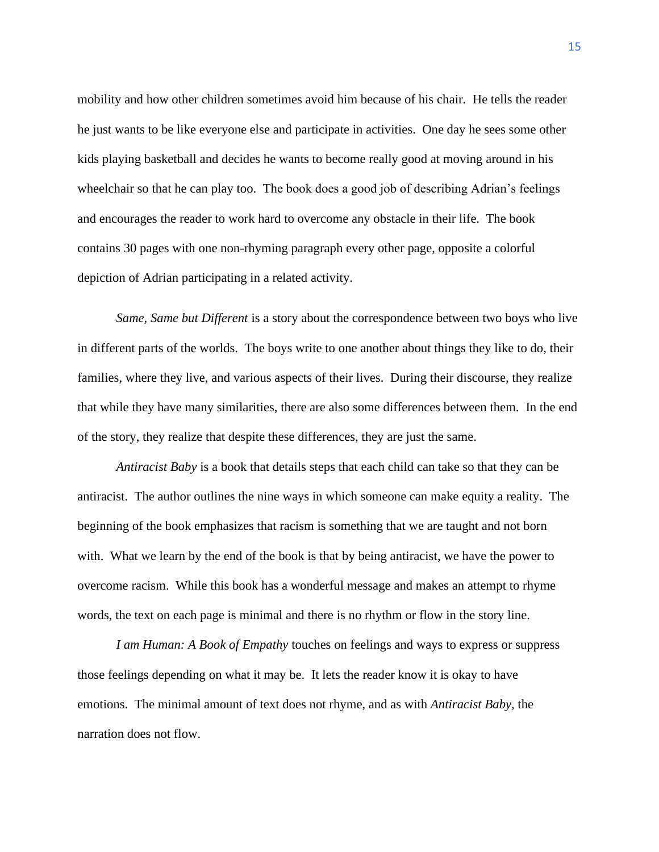mobility and how other children sometimes avoid him because of his chair. He tells the reader he just wants to be like everyone else and participate in activities. One day he sees some other kids playing basketball and decides he wants to become really good at moving around in his wheelchair so that he can play too. The book does a good job of describing Adrian's feelings and encourages the reader to work hard to overcome any obstacle in their life. The book contains 30 pages with one non-rhyming paragraph every other page, opposite a colorful depiction of Adrian participating in a related activity.

*Same, Same but Different* is a story about the correspondence between two boys who live in different parts of the worlds. The boys write to one another about things they like to do, their families, where they live, and various aspects of their lives. During their discourse, they realize that while they have many similarities, there are also some differences between them. In the end of the story, they realize that despite these differences, they are just the same.

*Antiracist Baby* is a book that details steps that each child can take so that they can be antiracist. The author outlines the nine ways in which someone can make equity a reality. The beginning of the book emphasizes that racism is something that we are taught and not born with. What we learn by the end of the book is that by being antiracist, we have the power to overcome racism. While this book has a wonderful message and makes an attempt to rhyme words, the text on each page is minimal and there is no rhythm or flow in the story line.

*I am Human: A Book of Empathy* touches on feelings and ways to express or suppress those feelings depending on what it may be. It lets the reader know it is okay to have emotions. The minimal amount of text does not rhyme, and as with *Antiracist Baby,* the narration does not flow.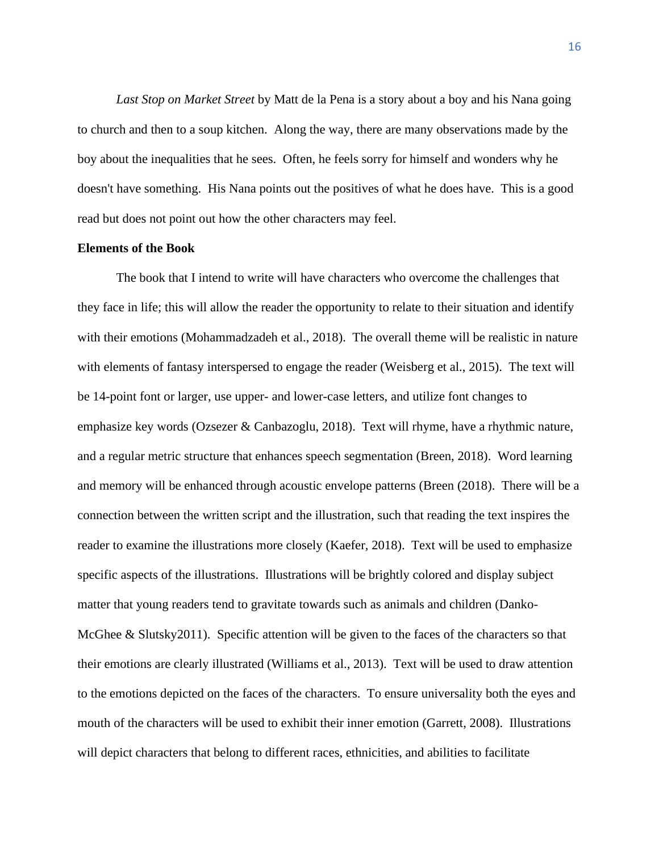*Last Stop on Market Street* by Matt de la Pena is a story about a boy and his Nana going to church and then to a soup kitchen. Along the way, there are many observations made by the boy about the inequalities that he sees. Often, he feels sorry for himself and wonders why he doesn't have something. His Nana points out the positives of what he does have. This is a good read but does not point out how the other characters may feel.

# **Elements of the Book**

The book that I intend to write will have characters who overcome the challenges that they face in life; this will allow the reader the opportunity to relate to their situation and identify with their emotions (Mohammadzadeh et al., 2018). The overall theme will be realistic in nature with elements of fantasy interspersed to engage the reader (Weisberg et al., 2015). The text will be 14-point font or larger, use upper- and lower-case letters, and utilize font changes to emphasize key words (Ozsezer & Canbazoglu, 2018). Text will rhyme, have a rhythmic nature, and a regular metric structure that enhances speech segmentation (Breen, 2018). Word learning and memory will be enhanced through acoustic envelope patterns (Breen (2018). There will be a connection between the written script and the illustration, such that reading the text inspires the reader to examine the illustrations more closely (Kaefer, 2018). Text will be used to emphasize specific aspects of the illustrations. Illustrations will be brightly colored and display subject matter that young readers tend to gravitate towards such as animals and children (Danko-McGhee & Slutsky2011). Specific attention will be given to the faces of the characters so that their emotions are clearly illustrated (Williams et al., 2013). Text will be used to draw attention to the emotions depicted on the faces of the characters. To ensure universality both the eyes and mouth of the characters will be used to exhibit their inner emotion (Garrett, 2008). Illustrations will depict characters that belong to different races, ethnicities, and abilities to facilitate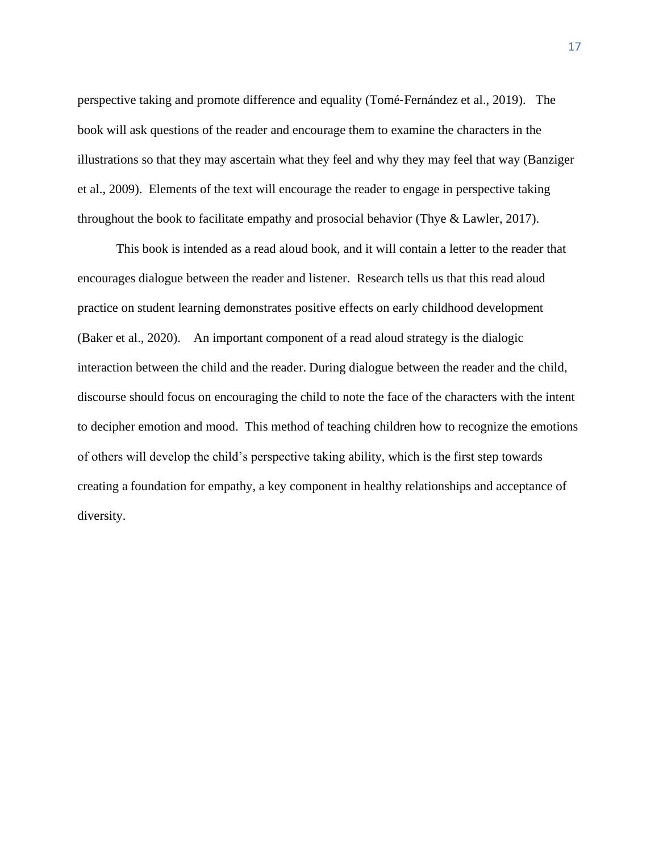perspective taking and promote difference and equality (Tomé‐Fernández et al., 2019). The book will ask questions of the reader and encourage them to examine the characters in the illustrations so that they may ascertain what they feel and why they may feel that way (Banziger et al., 2009). Elements of the text will encourage the reader to engage in perspective taking throughout the book to facilitate empathy and prosocial behavior (Thye & Lawler, 2017).

This book is intended as a read aloud book, and it will contain a letter to the reader that encourages dialogue between the reader and listener. Research tells us that this read aloud practice on student learning demonstrates positive effects on early childhood development (Baker et al., 2020). An important component of a read aloud strategy is the dialogic interaction between the child and the reader. During dialogue between the reader and the child, discourse should focus on encouraging the child to note the face of the characters with the intent to decipher emotion and mood. This method of teaching children how to recognize the emotions of others will develop the child's perspective taking ability, which is the first step towards creating a foundation for empathy, a key component in healthy relationships and acceptance of diversity.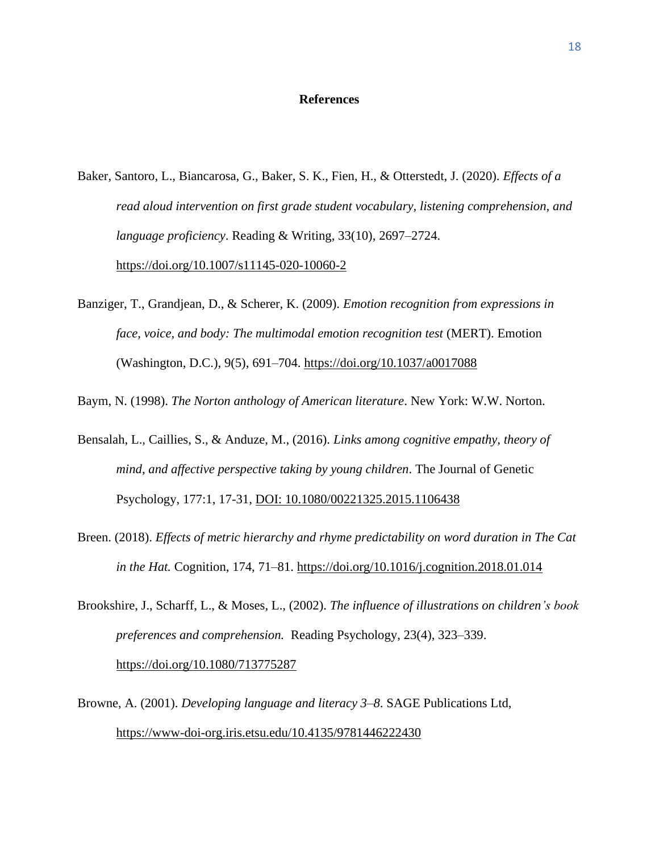# **References**

- Baker, Santoro, L., Biancarosa, G., Baker, S. K., Fien, H., & Otterstedt, J. (2020). *Effects of a read aloud intervention on first grade student vocabulary, listening comprehension, and language proficiency*. Reading & Writing, 33(10), 2697–2724. https://doi.org/10.1007/s11145-020-10060-2
- Banziger, T., Grandjean, D., & Scherer, K. (2009). *Emotion recognition from expressions in face, voice, and body: The multimodal emotion recognition test* (MERT). Emotion (Washington, D.C.), 9(5), 691–704. https://doi.org/10.1037/a0017088

Baym, N. (1998). *The Norton anthology of American literature*. New York: W.W. Norton.

- Bensalah, L., Caillies, S., & Anduze, M., (2016). *Links among cognitive empathy, theory of mind, and affective perspective taking by young children*. The Journal of Genetic Psychology, 177:1, 17-31, DOI: 10.1080/00221325.2015.1106438
- Breen. (2018). *Effects of metric hierarchy and rhyme predictability on word duration in The Cat in the Hat.* Cognition, 174, 71–81. https://doi.org/10.1016/j.cognition.2018.01.014
- Brookshire, J., Scharff, L., & Moses, L., (2002). *The influence of illustrations on children's book preferences and comprehension.* Reading Psychology, 23(4), 323–339. https://doi.org/10.1080/713775287
- Browne, A. (2001). *Developing language and literacy 3–8*. SAGE Publications Ltd, <https://www-doi-org.iris.etsu.edu/10.4135/9781446222430>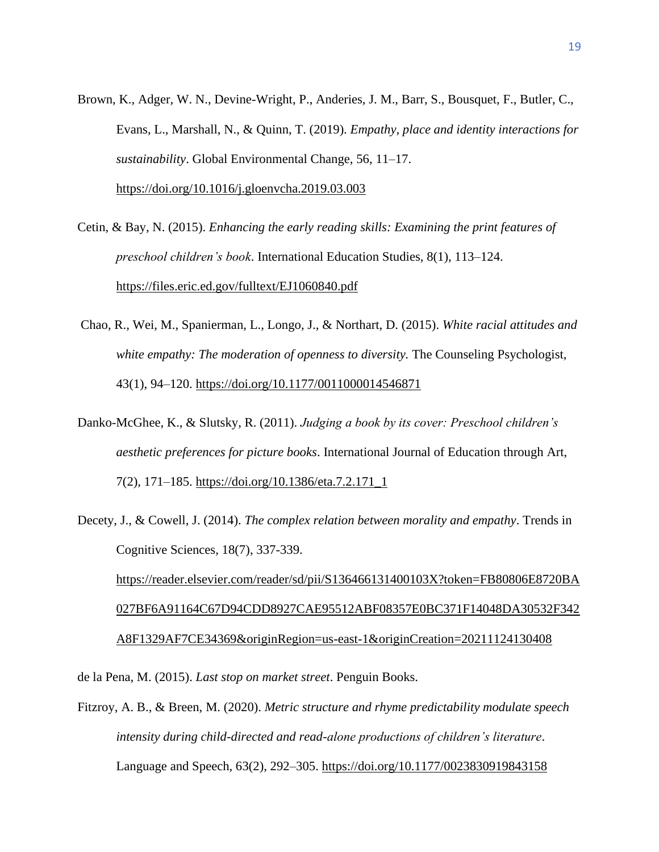- Brown, K., Adger, W. N., Devine-Wright, P., Anderies, J. M., Barr, S., Bousquet, F., Butler, C., Evans, L., Marshall, N., & Quinn, T. (2019). *Empathy, place and identity interactions for sustainability*. Global Environmental Change, 56, 11–17. <https://doi.org/10.1016/j.gloenvcha.2019.03.003>
- Cetin, & Bay, N. (2015). *Enhancing the early reading skills: Examining the print features of preschool children's book*. International Education Studies, 8(1), 113–124. https://files.eric.ed.gov/fulltext/EJ1060840.pdf
- Chao, R., Wei, M., Spanierman, L., Longo, J., & Northart, D. (2015). *White racial attitudes and white empathy: The moderation of openness to diversity.* The Counseling Psychologist, 43(1), 94–120. https://doi.org/10.1177/0011000014546871
- Danko-McGhee, K., & Slutsky, R. (2011). *Judging a book by its cover: Preschool children's aesthetic preferences for picture books*. International Journal of Education through Art, 7(2), 171–185. https://doi.org/10.1386/eta.7.2.171\_1
- Decety, J., & Cowell, J. (2014). *The complex relation between morality and empathy*. Trends in Cognitive Sciences, 18(7), 337-339. [https://reader.elsevier.com/reader/sd/pii/S136466131400103X?token=FB80806E8720BA](https://reader.elsevier.com/reader/sd/pii/S136466131400103X?token=FB80806E8720BA027BF6A91164C67D94CDD8927CAE95512ABF08357E0BC371F14048DA30532F342A8F1329AF7CE34369&originRegion=us-east-1&originCreation=20211124130408) [027BF6A91164C67D94CDD8927CAE95512ABF08357E0BC371F14048DA30532F342](https://reader.elsevier.com/reader/sd/pii/S136466131400103X?token=FB80806E8720BA027BF6A91164C67D94CDD8927CAE95512ABF08357E0BC371F14048DA30532F342A8F1329AF7CE34369&originRegion=us-east-1&originCreation=20211124130408) [A8F1329AF7CE34369&originRegion=us-east-1&originCreation=20211124130408](https://reader.elsevier.com/reader/sd/pii/S136466131400103X?token=FB80806E8720BA027BF6A91164C67D94CDD8927CAE95512ABF08357E0BC371F14048DA30532F342A8F1329AF7CE34369&originRegion=us-east-1&originCreation=20211124130408)

de la Pena, M. (2015). *Last stop on market street*. Penguin Books.

Fitzroy, A. B., & Breen, M. (2020). *Metric structure and rhyme predictability modulate speech intensity during child-directed and read-alone productions of children's literature*. Language and Speech, 63(2), 292–305. https://doi.org/10.1177/0023830919843158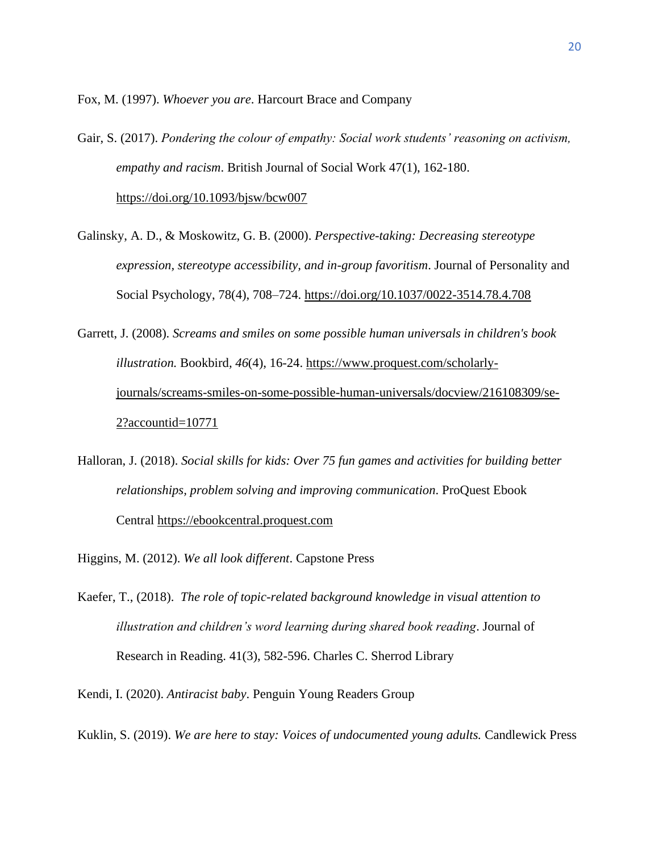Fox, M. (1997). *Whoever you are*. Harcourt Brace and Company

- Gair, S. (2017). *Pondering the colour of empathy: Social work students' reasoning on activism, empathy and racism*. British Journal of Social Work 47(1), 162-180. https://doi.org/10.1093/bjsw/bcw007
- Galinsky, A. D., & Moskowitz, G. B. (2000). *Perspective-taking: Decreasing stereotype expression, stereotype accessibility, and in-group favoritism*. Journal of Personality and Social Psychology, 78(4), 708–724.<https://doi.org/10.1037/0022-3514.78.4.708>
- Garrett, J. (2008). *Screams and smiles on some possible human universals in children's book illustration.* Bookbird*, 46*(4), 16-24. https://www.proquest.com/scholarlyjournals/screams-smiles-on-some-possible-human-universals/docview/216108309/se-2?accountid=10771
- Halloran, J. (2018). *Social skills for kids: Over 75 fun games and activities for building better relationships, problem solving and improving communication*. ProQuest Ebook Central [https://ebookcentral.proquest.com](https://ebookcentral.proquest.com/)
- Higgins, M. (2012). *We all look different*. Capstone Press
- Kaefer, T., (2018). *The role of topic-related background knowledge in visual attention to illustration and children's word learning during shared book reading*. Journal of Research in Reading. 41(3), 582-596. Charles C. Sherrod Library
- Kendi, I. (2020). *Antiracist baby*. Penguin Young Readers Group
- Kuklin, S. (2019). *We are here to stay: Voices of undocumented young adults.* Candlewick Press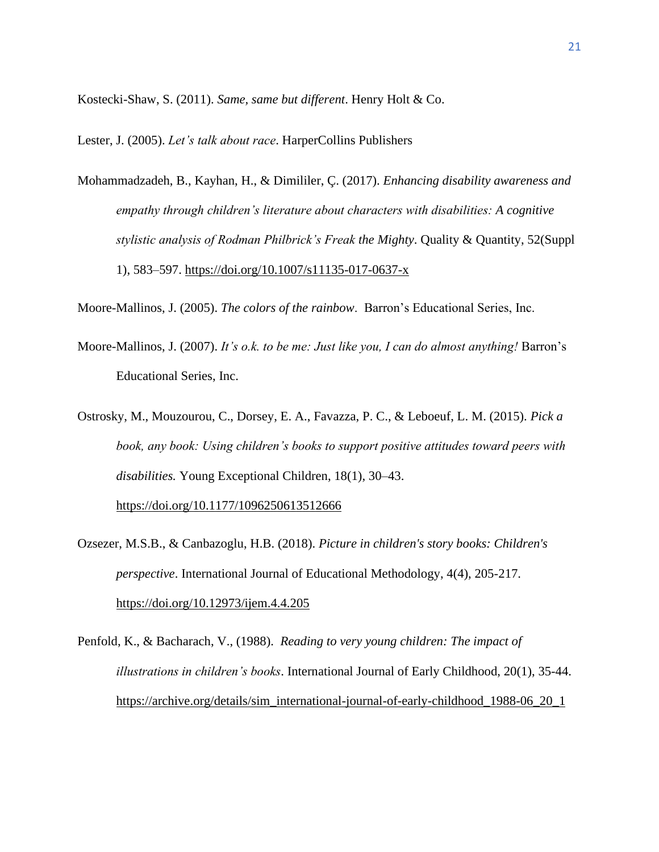Kostecki-Shaw, S. (2011). *Same, same but different*. Henry Holt & Co.

Lester, J. (2005). *Let's talk about race*. HarperCollins Publishers

Mohammadzadeh, B., Kayhan, H., & Dimililer, Ç. (2017). *Enhancing disability awareness and empathy through children's literature about characters with disabilities: A cognitive stylistic analysis of Rodman Philbrick's Freak the Mighty*. Quality & Quantity, 52(Suppl 1), 583–597.<https://doi.org/10.1007/s11135-017-0637-x>

Moore-Mallinos, J. (2005). *The colors of the rainbow*. Barron's Educational Series, Inc.

- Moore-Mallinos, J. (2007). *It's o.k. to be me: Just like you, I can do almost anything!* Barron's Educational Series, Inc.
- Ostrosky, M., Mouzourou, C., Dorsey, E. A., Favazza, P. C., & Leboeuf, L. M. (2015). *Pick a book, any book: Using children's books to support positive attitudes toward peers with disabilities.* Young Exceptional Children, 18(1), 30–43. <https://doi.org/10.1177/1096250613512666>
- Ozsezer, M.S.B., & Canbazoglu, H.B. (2018). *Picture in children's story books: Children's perspective*. International Journal of Educational Methodology, 4(4), 205-217. https://doi.org/10.12973/ijem.4.4.205
- Penfold, K., & Bacharach, V., (1988). *Reading to very young children: The impact of illustrations in children's books*. International Journal of Early Childhood, 20(1), 35-44. https://archive.org/details/sim\_international-journal-of-early-childhood\_1988-06\_20\_1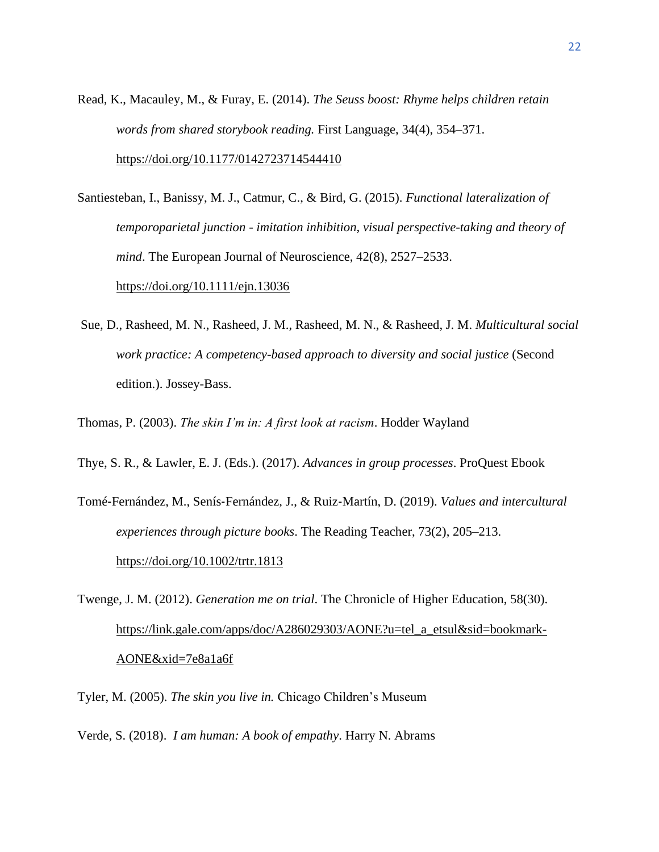- Read, K., Macauley, M., & Furay, E. (2014). *The Seuss boost: Rhyme helps children retain words from shared storybook reading.* First Language, 34(4), 354–371. https://doi.org/10.1177/0142723714544410
- Santiesteban, I., Banissy, M. J., Catmur, C., & Bird, G. (2015). *Functional lateralization of temporoparietal junction - imitation inhibition, visual perspective-taking and theory of mind*. The European Journal of Neuroscience, 42(8), 2527–2533. <https://doi.org/10.1111/ejn.13036>
- Sue, D., Rasheed, M. N., Rasheed, J. M., Rasheed, M. N., & Rasheed, J. M. *Multicultural social work practice: A competency-based approach to diversity and social justice* (Second edition.). Jossey-Bass.
- Thomas, P. (2003). *The skin I'm in: A first look at racism*. Hodder Wayland
- Thye, S. R., & Lawler, E. J. (Eds.). (2017). *Advances in group processes*. ProQuest Ebook
- Tomé‐Fernández, M., Senís‐Fernández, J., & Ruiz‐Martín, D. (2019). *Values and intercultural experiences through picture books*. The Reading Teacher, 73(2), 205–213. https://doi.org/10.1002/trtr.1813
- Twenge, J. M. (2012). *Generation me on trial*. The Chronicle of Higher Education, 58(30). https://link.gale.com/apps/doc/A286029303/AONE?u=tel\_a\_etsul&sid=bookmark-AONE&xid=7e8a1a6f
- Tyler, M. (2005). *The skin you live in.* Chicago Children's Museum
- Verde, S. (2018). *I am human: A book of empathy*. Harry N. Abrams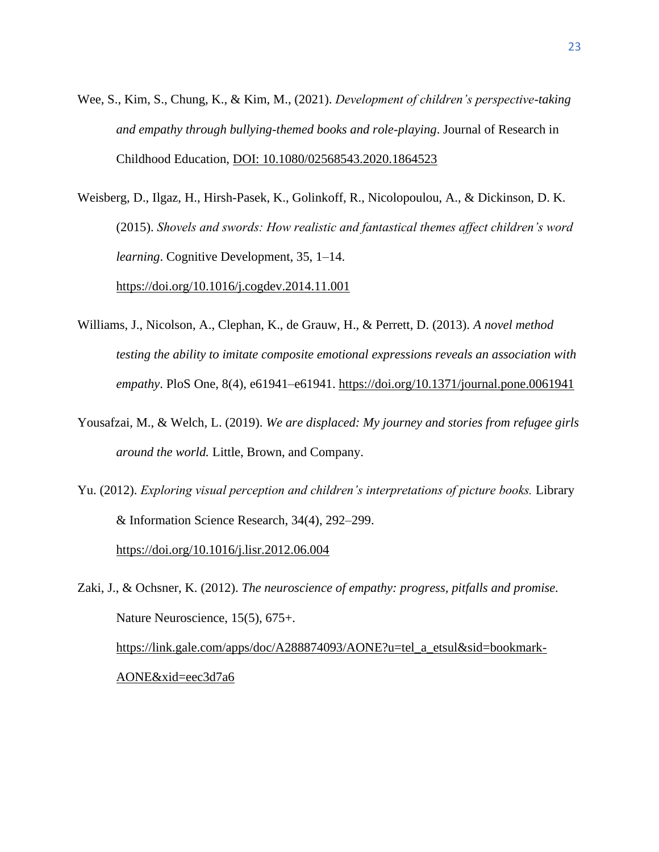- Wee, S., Kim, S., Chung, K., & Kim, M., (2021). *Development of children's perspective-taking and empathy through bullying-themed books and role-playing*. Journal of Research in Childhood Education, DOI: 10.1080/02568543.2020.1864523
- Weisberg, D., Ilgaz, H., Hirsh-Pasek, K., Golinkoff, R., Nicolopoulou, A., & Dickinson, D. K. (2015). *Shovels and swords: How realistic and fantastical themes affect children's word learning*. Cognitive Development, 35, 1–14. https://doi.org/10.1016/j.cogdev.2014.11.001
- Williams, J., Nicolson, A., Clephan, K., de Grauw, H., & Perrett, D. (2013). *A novel method testing the ability to imitate composite emotional expressions reveals an association with empathy*. PloS One, 8(4), e61941–e61941.<https://doi.org/10.1371/journal.pone.0061941>
- Yousafzai, M., & Welch, L. (2019). *We are displaced: My journey and stories from refugee girls around the world.* Little, Brown, and Company.
- Yu. (2012). *Exploring visual perception and children's interpretations of picture books.* Library & Information Science Research, 34(4), 292–299. https://doi.org/10.1016/j.lisr.2012.06.004

Zaki, J., & Ochsner, K. (2012). *The neuroscience of empathy: progress, pitfalls and promise.* Nature Neuroscience, 15(5), 675+. https://link.gale.com/apps/doc/A288874093/AONE?u=tel\_a\_etsul&sid=bookmark-AONE&xid=eec3d7a6